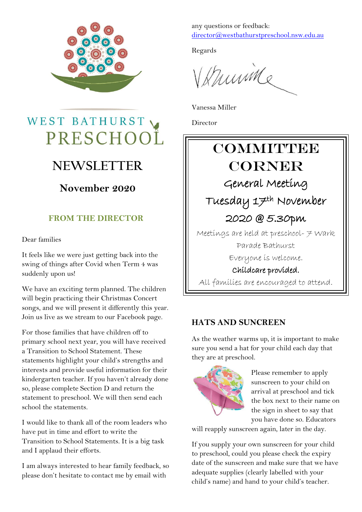

## WEST BATHURST PRESCHOOL

## **NEWSLETTER**

### **November 2020**

### **FROM THE DIRECTOR**

Dear families

It feels like we were just getting back into the swing of things after Covid when Term 4 was suddenly upon us!

We have an exciting term planned. The children will begin practicing their Christmas Concert songs, and we will present it differently this year. Join us live as we stream to our Facebook page.

For those families that have children off to primary school next year, you will have received a Transition to School Statement. These statements highlight your child's strengths and interests and provide useful information for their kindergarten teacher. If you haven't already done so, please complete Section D and return the statement to preschool. We will then send each school the statements.

I would like to thank all of the room leaders who have put in time and effort to write the Transition to School Statements. It is a big task and I applaud their efforts.

I am always interested to hear family feedback, so please don't hesitate to contact me by email with

any questions or feedback: [director@westbathurstpreschool.nsw.edu.au](mailto:director@westbathurstpreschool.nsw.edu.au)

Regards

Whumine

Vanessa Miller

Director

## **COMMITTEE** CORNER General Meeting Tuesday 17th November 2020 @ 5.30pm Meetings are held at preschool- 7 Wark Parade Bathurst Everyone is welcome. Childcare provided. All families are encouraged to attend.

#### **HATS AND SUNCREEN**

As the weather warms up, it is important to make sure you send a hat for your child each day that they are at preschool.



Please remember to apply sunscreen to your child on arrival at preschool and tick the box next to their name on the sign in sheet to say that you have done so. Educators

will reapply sunscreen again, later in the day.

If you supply your own sunscreen for your child to preschool, could you please check the expiry date of the sunscreen and make sure that we have adequate supplies (clearly labelled with your child's name) and hand to your child's teacher.